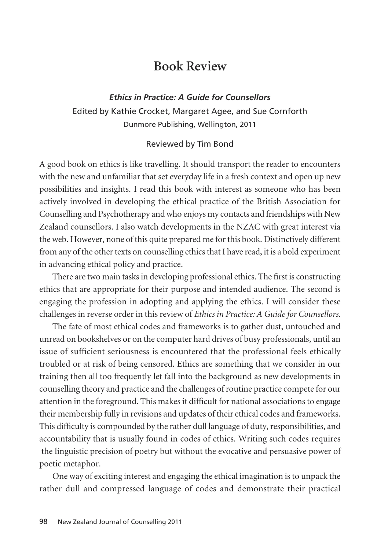## **Book Review**

*Ethics in Practice: A Guide for Counsellors* Edited by Kathie Crocket, Margaret Agee, and Sue Cornforth Dunmore Publishing, Wellington, 2011

## Reviewed by Tim Bond

A good book on ethics is like travelling. It should transport the reader to encounters with the new and unfamiliar that set everyday life in a fresh context and open up new possibilities and insights. I read this book with interest as someone who has been actively involved in developing the ethical practice of the British Association for Counselling and Psychotherapy and who enjoys my contacts and friendships with New Zealand counsellors. I also watch developments in the NZAC with great interest via the web. However, none of this quite prepared me for this book. Distinctively different from any of the other texts on counselling ethics that I have read, it is a bold experiment in advancing ethical policy and practice.

There are two main tasks in developing professional ethics. The first is constructing ethics that are appropriate for their purpose and intended audience. The second is engaging the profession in adopting and applying the ethics. I will consider these challenges in reverse order in this review of *Ethics in Practice: A Guide for Counsellors.*

The fate of most ethical codes and frameworks is to gather dust, untouched and unread on bookshelves or on the computer hard drives of busy professionals, until an issue of sufficient seriousness is encountered that the professional feels ethically troubled or at risk of being censored. Ethics are something that we consider in our training then all too frequently let fall into the background as new developments in counselling theory and practice and the challenges of routine practice compete for our attention in the foreground. This makes it difficult for national associations to engage their membership fully in revisions and updates of their ethical codes and frameworks. This difficulty is compounded by the rather dull language of duty, responsibilities, and accountability that is usually found in codes of ethics. Writing such codes requires the linguistic precision of poetry but without the evocative and persuasive power of poetic metaphor.

One way of exciting interest and engaging the ethical imagination is to unpack the rather dull and compressed language of codes and demonstrate their practical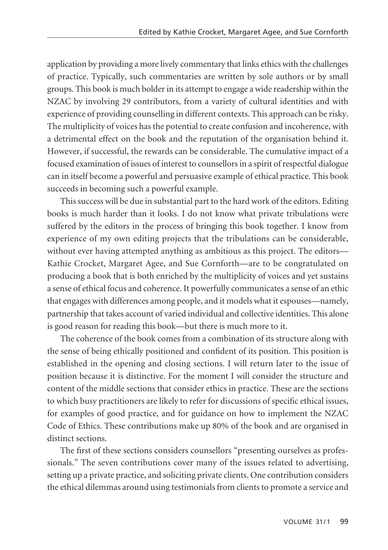application by providing a more lively commentary that links ethics with the challenges of practice. Typically, such commentaries are written by sole authors or by small groups. This book is much bolder in its attempt to engage a wide readership within the NZAC by involving 29 contributors, from a variety of cultural identities and with experience of providing counselling in different contexts. This approach can be risky. The multiplicity of voices has the potential to create confusion and incoherence, with a detrimental effect on the book and the reputation of the organisation behind it. However, if successful, the rewards can be considerable. The cumulative impact of a focused examination of issues of interest to counsellors in a spirit of respectful dialogue can in itself become a powerful and persuasive example of ethical practice. This book succeeds in becoming such a powerful example.

This success will be due in substantial part to the hard work of the editors. Editing books is much harder than it looks. I do not know what private tribulations were suffered by the editors in the process of bringing this book together. I know from experience of my own editing projects that the tribulations can be considerable, without ever having attempted anything as ambitious as this project. The editors— Kathie Crocket, Margaret Agee, and Sue Cornforth—are to be congratulated on producing a book that is both enriched by the multiplicity of voices and yet sustains a sense of ethical focus and coherence. It powerfully communicates a sense of an ethic that engages with differences among people, and it models what it espouses—namely, partnership that takes account of varied individual and collective identities. This alone is good reason for reading this book—but there is much more to it.

The coherence of the book comes from a combination of its structure along with the sense of being ethically positioned and confident of its position. This position is established in the opening and closing sections. I will return later to the issue of position because it is distinctive. For the moment I will consider the structure and content of the middle sections that consider ethics in practice. These are the sections to which busy practitioners are likely to refer for discussions of specific ethical issues, for examples of good practice, and for guidance on how to implement the NZAC Code of Ethics. These contributions make up 80% of the book and are organised in distinct sections.

The first of these sections considers counsellors "presenting ourselves as profes sionals." The seven contributions cover many of the issues related to advertising, setting up a private practice, and soliciting private clients. One contribution considers the ethical dilemmas around using testimonials from clients to promote a service and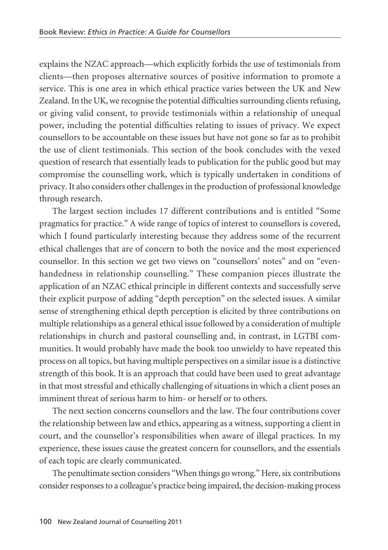explains the NZAC approach—which explicitly forbids the use of testimonials from clients—then proposes alternative sources of positive information to promote a service. This is one area in which ethical practice varies between the UK and New Zealand. In the UK, we recognise the potential difficulties surrounding clients refusing, or giving valid consent, to provide testimonials within a relationship of unequal power, including the potential difficulties relating to issues of privacy. We expect counsellors to be accountable on these issues but have not gone so far as to prohibit the use of client testimonials. This section of the book concludes with the vexed question of research that essentially leads to publication for the public good but may compromise the counselling work, which is typically undertaken in conditions of privacy. It also considers other challenges in the production of professional knowledge through research.

The largest section includes 17 different contributions and is entitled "Some pragmatics for practice." A wide range of topics of interest to counsellors is covered, which I found particularly interesting because they address some of the recurrent ethical challenges that are of concern to both the novice and the most experienced counsellor. In this section we get two views on "counsellors' notes" and on "evenhandedness in relationship counselling." These companion pieces illustrate the application of an NZAC ethical principle in different contexts and successfully serve their explicit purpose of adding "depth perception" on the selected issues. A similar sense of strengthening ethical depth perception is elicited by three contributions on multiple relationships as a general ethical issue followed by a consideration of multiple relationships in church and pastoral counselling and, in contrast, in LGTBI communities. It would probably have made the book too unwieldy to have repeated this process on all topics, but having multiple perspectives on a similar issue is a distinctive strength of this book. It is an approach that could have been used to great advantage in that most stressful and ethically challenging of situations in which a client poses an imminent threat of serious harm to him- or herself or to others.

The next section concerns counsellors and the law. The four contributions cover the relationship between law and ethics, appearing as a witness, supporting a client in court, and the counsellor's responsibilities when aware of illegal practices. In my experience, these issues cause the greatest concern for counsellors, and the essentials of each topic are clearly communicated.

The penultimate section considers "When things go wrong." Here, six contributions consider responses to a colleague's practice being impaired, the decision-making process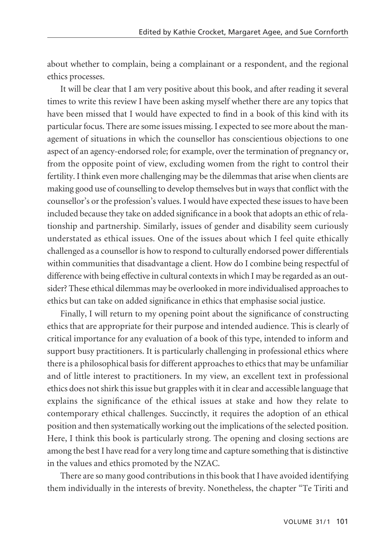about whether to complain, being a complainant or a respondent, and the regional ethics processes.

It will be clear that I am very positive about this book, and after reading it several times to write this review I have been asking myself whether there are any topics that have been missed that I would have expected to find in a book of this kind with its particular focus. There are some issues missing. I expected to see more about the manage ment of situations in which the counsellor has conscientious objections to one aspect of an agency-endorsed role; for example, over the termination of pregnancy or, from the opposite point of view, excluding women from the right to control their fertility. I think even more challenging may be the dilemmas that arise when clients are making good use of counselling to develop themselves but in ways that conflict with the counsellor's or the profession's values. I would have expected these issues to have been included because they take on added significance in a book that adopts an ethic of relationship and partnership. Similarly, issues of gender and disability seem curiously understated as ethical issues. One of the issues about which I feel quite ethically challenged as a counsellor is how to respond to culturally endorsed power differentials within communities that disadvantage a client. How do I combine being respectful of difference with being effective in cultural contexts in which I may be regarded as an outsider? These ethical dilemmas may be overlooked in more individualised approaches to ethics but can take on added significance in ethics that emphasise social justice.

Finally, I will return to my opening point about the significance of constructing ethics that are appropriate for their purpose and intended audience. This is clearly of critical importance for any evaluation of a book of this type, intended to inform and support busy practitioners. It is particularly challenging in professional ethics where there is a philosophical basis for different approaches to ethics that may be unfamiliar and of little interest to practitioners. In my view, an excellent text in professional ethics does not shirk this issue but grapples with it in clear and accessible language that explains the significance of the ethical issues at stake and how they relate to contemporary ethical challenges. Succinctly, it requires the adoption of an ethical position and then systematically working out the implications of the selected position. Here, I think this book is particularly strong. The opening and closing sections are among the best I have read for a very long time and capture something that is distinctive in the values and ethics promoted by the NZAC.

There are so many good contributions in this book that I have avoided identifying them individually in the interests of brevity. Nonetheless, the chapter "Te Tiriti and